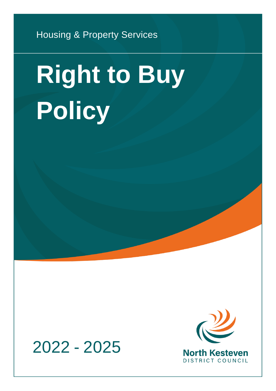Housing & Property Services

# **Right to Buy Policy**



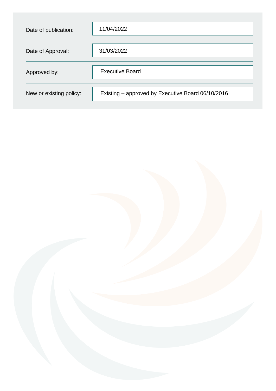| Date of publication:    | 11/04/2022                                        |
|-------------------------|---------------------------------------------------|
| Date of Approval:       | 31/03/2022                                        |
| Approved by:            | <b>Executive Board</b>                            |
| New or existing policy: | Existing – approved by Executive Board 06/10/2016 |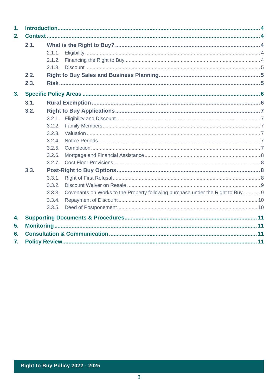| 1. |      |        |                                                                                |  |  |
|----|------|--------|--------------------------------------------------------------------------------|--|--|
| 2. |      |        |                                                                                |  |  |
|    | 2.1. |        |                                                                                |  |  |
|    |      |        |                                                                                |  |  |
|    |      | 2.1.2. |                                                                                |  |  |
|    |      |        |                                                                                |  |  |
|    | 2.2. |        |                                                                                |  |  |
|    | 2.3. |        |                                                                                |  |  |
| 3. |      |        |                                                                                |  |  |
|    | 3.1. |        |                                                                                |  |  |
|    | 3.2. |        |                                                                                |  |  |
|    |      | 3.2.1. |                                                                                |  |  |
|    |      | 3.2.2. |                                                                                |  |  |
|    |      | 3.2.3. |                                                                                |  |  |
|    |      | 3.2.4. |                                                                                |  |  |
|    |      | 3.2.5. |                                                                                |  |  |
|    |      | 3.2.6. |                                                                                |  |  |
|    |      | 3.2.7. |                                                                                |  |  |
|    | 3.3. |        |                                                                                |  |  |
|    |      | 3.3.1. |                                                                                |  |  |
|    |      | 3.3.2. |                                                                                |  |  |
|    |      | 3.3.3. | Covenants on Works to the Property following purchase under the Right to Buy 9 |  |  |
|    |      | 3.3.4. |                                                                                |  |  |
|    |      | 3.3.5. |                                                                                |  |  |
| 4. |      |        |                                                                                |  |  |
| 5. |      |        |                                                                                |  |  |
| 6. |      |        |                                                                                |  |  |
| 7. |      |        |                                                                                |  |  |
|    |      |        |                                                                                |  |  |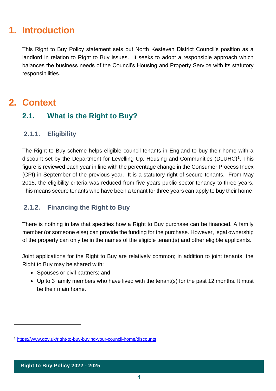# <span id="page-3-0"></span>**1. Introduction**

This Right to Buy Policy statement sets out North Kesteven District Council's position as a landlord in relation to Right to Buy issues. It seeks to adopt a responsible approach which balances the business needs of the Council's Housing and Property Service with its statutory responsibilities.

# <span id="page-3-1"></span>**2. Context**

## <span id="page-3-2"></span>**2.1. What is the Right to Buy?**

#### <span id="page-3-3"></span>**2.1.1. Eligibility**

The Right to Buy scheme helps eligible council tenants in England to buy their home with a discount set by the Department for Levelling Up, Housing and Communities (DLUHC)<sup>1</sup>. This figure is reviewed each year in line with the percentage change in the Consumer Process Index (CPI) in September of the previous year. It is a statutory right of secure tenants. From May 2015, the eligibility criteria was reduced from five years public sector tenancy to three years. This means secure tenants who have been a tenant for three years can apply to buy their home.

#### <span id="page-3-4"></span>**2.1.2. Financing the Right to Buy**

There is nothing in law that specifies how a Right to Buy purchase can be financed. A family member (or someone else) can provide the funding for the purchase. However, legal ownership of the property can only be in the names of the eligible tenant(s) and other eligible applicants.

Joint applications for the Right to Buy are relatively common; in addition to joint tenants, the Right to Buy may be shared with:

- Spouses or civil partners; and
- Up to 3 family members who have lived with the tenant(s) for the past 12 months. It must be their main home.

<sup>1</sup> <https://www.gov.uk/right-to-buy-buying-your-council-home/discounts>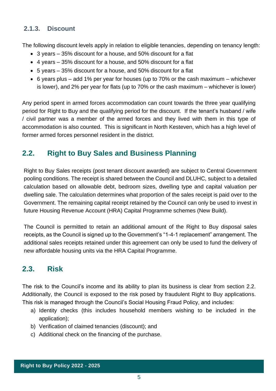#### <span id="page-4-0"></span>**2.1.3. Discount**

The following discount levels apply in relation to eligible tenancies, depending on tenancy length:

- 3 years 35% discount for a house, and 50% discount for a flat
- 4 years 35% discount for a house, and 50% discount for a flat
- 5 years 35% discount for a house, and 50% discount for a flat
- 6 years plus add 1% per year for houses (up to 70% or the cash maximum whichever is lower), and 2% per year for flats (up to 70% or the cash maximum – whichever is lower)

Any period spent in armed forces accommodation can count towards the three year qualifying period for Right to Buy and the qualifying period for the discount. If the tenant's husband / wife / civil partner was a member of the armed forces and they lived with them in this type of accommodation is also counted. This is significant in North Kesteven, which has a high level of former armed forces personnel resident in the district.

## <span id="page-4-1"></span>**2.2. Right to Buy Sales and Business Planning**

Right to Buy Sales receipts (post tenant discount awarded) are subject to Central Government pooling conditions. The receipt is shared between the Council and DLUHC, subject to a detailed calculation based on allowable debt, bedroom sizes, dwelling type and capital valuation per dwelling sale. The calculation determines what proportion of the sales receipt is paid over to the Government. The remaining capital receipt retained by the Council can only be used to invest in future Housing Revenue Account (HRA) Capital Programme schemes (New Build).

The Council is permitted to retain an additional amount of the Right to Buy disposal sales receipts, as the Council is signed up to the Government's "1-4-1 replacement" arrangement. The additional sales receipts retained under this agreement can only be used to fund the delivery of new affordable housing units via the HRA Capital Programme.

## <span id="page-4-2"></span>**2.3. Risk**

The risk to the Council's income and its ability to plan its business is clear from section 2.2. Additionally, the Council is exposed to the risk posed by fraudulent Right to Buy applications. This risk is managed through the Council's Social Housing Fraud Policy, and includes:

- a) Identity checks (this includes household members wishing to be included in the application);
- b) Verification of claimed tenancies (discount); and
- c) Additional check on the financing of the purchase.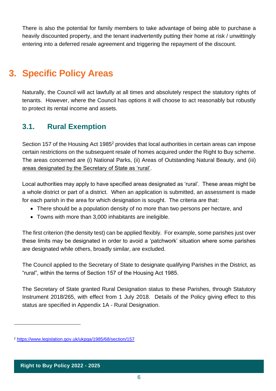There is also the potential for family members to take advantage of being able to purchase a heavily discounted property, and the tenant inadvertently putting their home at risk / unwittingly entering into a deferred resale agreement and triggering the repayment of the discount.

# <span id="page-5-0"></span>**3. Specific Policy Areas**

Naturally, the Council will act lawfully at all times and absolutely respect the statutory rights of tenants. However, where the Council has options it will choose to act reasonably but robustly to protect its rental income and assets.

## <span id="page-5-1"></span>**3.1. Rural Exemption**

Section 157 of the Housing Act 1985<sup>2</sup> provides that local authorities in certain areas can impose certain restrictions on the subsequent resale of homes acquired under the Right to Buy scheme. The areas concerned are (i) National Parks, (ii) Areas of Outstanding Natural Beauty, and (iii) areas designated by the Secretary of State as 'rural'.

Local authorities may apply to have specified areas designated as 'rural'. These areas might be a whole district or part of a district. When an application is submitted, an assessment is made for each parish in the area for which designation is sought. The criteria are that:

- There should be a population density of no more than two persons per hectare, and
- Towns with more than 3,000 inhabitants are ineligible.

The first criterion (the density test) can be applied flexibly. For example, some parishes just over these limits may be designated in order to avoid a 'patchwork' situation where some parishes are designated while others, broadly similar, are excluded.

The Council applied to the Secretary of State to designate qualifying Parishes in the District, as "rural", within the terms of Section 157 of the Housing Act 1985.

The Secretary of State granted Rural Designation status to these Parishes, through Statutory Instrument 2018/265, with effect from 1 July 2018. Details of the Policy giving effect to this status are specified in Appendix 1A - Rural Designation.

<sup>2</sup> <https://www.legislation.gov.uk/ukpga/1985/68/section/157>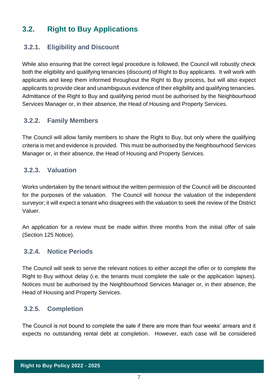## <span id="page-6-0"></span>**3.2. Right to Buy Applications**

#### <span id="page-6-1"></span>**3.2.1. Eligibility and Discount**

While also ensuring that the correct legal procedure is followed, the Council will robustly check both the eligibility and qualifying tenancies (discount) of Right to Buy applicants. It will work with applicants and keep them informed throughout the Right to Buy process, but will also expect applicants to provide clear and unambiguous evidence of their eligibility and qualifying tenancies. Admittance of the Right to Buy and qualifying period must be authorised by the Neighbourhood Services Manager or, in their absence, the Head of Housing and Property Services.

#### <span id="page-6-2"></span>**3.2.2. Family Members**

The Council will allow family members to share the Right to Buy, but only where the qualifying criteria is met and evidence is provided. This must be authorised by the Neighbourhood Services Manager or, in their absence, the Head of Housing and Property Services.

#### <span id="page-6-3"></span>**3.2.3. Valuation**

Works undertaken by the tenant without the written permission of the Council will be discounted for the purposes of the valuation. The Council will honour the valuation of the independent surveyor; it will expect a tenant who disagrees with the valuation to seek the review of the District Valuer.

An application for a review must be made within three months from the initial offer of sale (Section 125 Notice).

#### <span id="page-6-4"></span>**3.2.4. Notice Periods**

The Council will seek to serve the relevant notices to either accept the offer or to complete the Right to Buy without delay (i.e. the tenants must complete the sale or the application lapses). Notices must be authorised by the Neighbourhood Services Manager or, in their absence, the Head of Housing and Property Services.

#### <span id="page-6-5"></span>**3.2.5. Completion**

The Council is not bound to complete the sale if there are more than four weeks' arrears and it expects no outstanding rental debt at completion. However, each case will be considered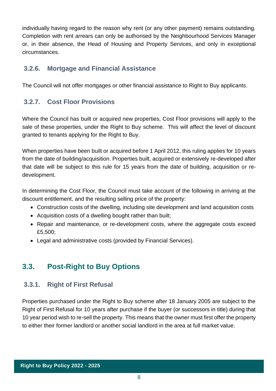individually having regard to the reason why rent (or any other payment) remains outstanding. Completion with rent arrears can only be authorised by the Neighbourhood Services Manager or, in their absence, the Head of Housing and Property Services, and only in exceptional circumstances.

#### <span id="page-7-0"></span>**3.2.6. Mortgage and Financial Assistance**

The Council will not offer mortgages or other financial assistance to Right to Buy applicants.

## <span id="page-7-1"></span>**3.2.7. Cost Floor Provisions**

Where the Council has built or acquired new properties, Cost Floor provisions will apply to the sale of these properties, under the Right to Buy scheme. This will affect the level of discount granted to tenants applying for the Right to Buy.

When properties have been built or acquired before 1 April 2012, this ruling applies for 10 years from the date of building/acquisition. Properties built, acquired or extensively re-developed after that date will be subject to this rule for 15 years from the date of building, acquisition or redevelopment.

In determining the Cost Floor, the Council must take account of the following in arriving at the discount entitlement, and the resulting selling price of the property:

- Construction costs of the dwelling, including site development and land acquisition costs
- Acquisition costs of a dwelling bought rather than built;
- Repair and maintenance, or re-development costs, where the aggregate costs exceed £5,500;
- Legal and administrative costs (provided by Financial Services).

## <span id="page-7-2"></span>**3.3. Post-Right to Buy Options**

#### <span id="page-7-3"></span>**3.3.1. Right of First Refusal**

Properties purchased under the Right to Buy scheme after 18 January 2005 are subject to the Right of First Refusal for 10 years after purchase if the buyer (or successors in title) during that 10 year period wish to re-sell the property. This means that the owner must first offer the property to either their former landlord or another social landlord in the area at full market value.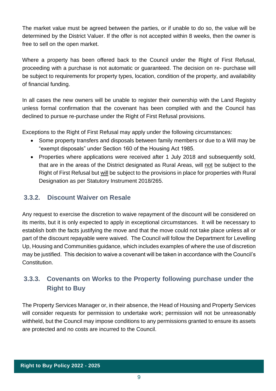The market value must be agreed between the parties, or if unable to do so, the value will be determined by the District Valuer. If the offer is not accepted within 8 weeks, then the owner is free to sell on the open market.

Where a property has been offered back to the Council under the Right of First Refusal, proceeding with a purchase is not automatic or guaranteed. The decision on re- purchase will be subject to requirements for property types, location, condition of the property, and availability of financial funding.

In all cases the new owners will be unable to register their ownership with the Land Registry unless formal confirmation that the covenant has been complied with and the Council has declined to pursue re-purchase under the Right of First Refusal provisions.

Exceptions to the Right of First Refusal may apply under the following circumstances:

- Some property transfers and disposals between family members or due to a Will may be "exempt disposals" under Section 160 of the Housing Act 1985.
- Properties where applications were received after 1 July 2018 and subsequently sold, that are in the areas of the District designated as Rural Areas, will not be subject to the Right of First Refusal but will be subject to the provisions in place for properties with Rural Designation as per Statutory Instrument 2018/265.

#### <span id="page-8-0"></span>**3.3.2. Discount Waiver on Resale**

Any request to exercise the discretion to waive repayment of the discount will be considered on its merits, but it is only expected to apply in exceptional circumstances. It will be necessary to establish both the facts justifying the move and that the move could not take place unless all or part of the discount repayable were waived. The Council will follow the Department for Levelling Up, Housing and Communities guidance, which includes examples of where the use of discretion may be justified. This decision to waive a covenant will be taken in accordance with the Council's Constitution.

## <span id="page-8-1"></span>**3.3.3. Covenants on Works to the Property following purchase under the Right to Buy**

The Property Services Manager or, in their absence, the Head of Housing and Property Services will consider requests for permission to undertake work; permission will not be unreasonably withheld, but the Council may impose conditions to any permissions granted to ensure its assets are protected and no costs are incurred to the Council.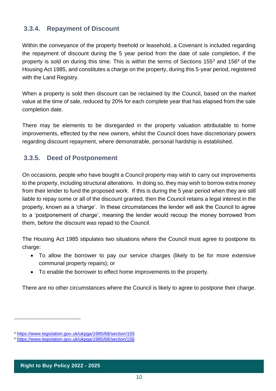#### <span id="page-9-0"></span>**3.3.4. Repayment of Discount**

Within the conveyance of the property freehold or leasehold, a Covenant is included regarding the repayment of discount during the 5 year period from the date of sale completion, if the property is sold on during this time. This is within the terms of Sections 155<sup>3</sup> and 156<sup>4</sup> of the Housing Act 1985, and constitutes a charge on the property, during this 5-year period, registered with the Land Registry.

When a property is sold then discount can be reclaimed by the Council, based on the market value at the time of sale, reduced by 20% for each complete year that has elapsed from the sale completion date.

There may be elements to be disregarded in the property valuation attributable to home improvements, effected by the new owners, whilst the Council does have discretionary powers regarding discount repayment, where demonstrable, personal hardship is established.

#### <span id="page-9-1"></span>**3.3.5. Deed of Postponement**

On occasions, people who have bought a Council property may wish to carry out improvements to the property, including structural alterations. In doing so, they may wish to borrow extra money from their lender to fund the proposed work. If this is during the 5 year period when they are still liable to repay some or all of the discount granted, then the Council retains a legal interest in the property, known as a 'charge'. In these circumstances the lender will ask the Council to agree to a 'postponement of charge', meaning the lender would recoup the money borrowed from them, before the discount was repaid to the Council.

The Housing Act 1985 stipulates two situations where the Council must agree to postpone its charge:

- To allow the borrower to pay our service charges (likely to be for more extensive communal property repairs); or
- To enable the borrower to effect home improvements to the property.

There are no other circumstances where the Council is likely to agree to postpone their charge.

<sup>3</sup> <https://www.legislation.gov.uk/ukpga/1985/68/section/155>

<sup>4</sup> <https://www.legislation.gov.uk/ukpga/1985/68/section/156>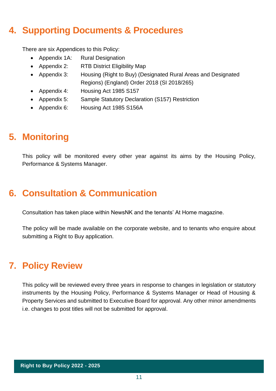# <span id="page-10-0"></span>**4. Supporting Documents & Procedures**

There are six Appendices to this Policy:

- Appendix 1A: Rural Designation
- Appendix 2: RTB District Eligibility Map
- Appendix 3: Housing (Right to Buy) (Designated Rural Areas and Designated Regions) (England) Order 2018 (SI 2018/265)
- Appendix 4: Housing Act 1985 S157
- Appendix 5: Sample Statutory Declaration (S157) Restriction
- Appendix 6: Housing Act 1985 S156A

# <span id="page-10-1"></span>**5. Monitoring**

This policy will be monitored every other year against its aims by the Housing Policy, Performance & Systems Manager.

# <span id="page-10-2"></span>**6. Consultation & Communication**

Consultation has taken place within NewsNK and the tenants' At Home magazine.

The policy will be made available on the corporate website, and to tenants who enquire about submitting a Right to Buy application.

# <span id="page-10-3"></span>**7. Policy Review**

This policy will be reviewed every three years in response to changes in legislation or statutory instruments by the Housing Policy, Performance & Systems Manager or Head of Housing & Property Services and submitted to Executive Board for approval. Any other minor amendments i.e. changes to post titles will not be submitted for approval.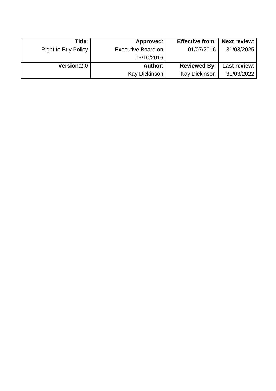| Title:                     | Approved:                 | <b>Effective from:</b> | <b>Next review:</b> |
|----------------------------|---------------------------|------------------------|---------------------|
| <b>Right to Buy Policy</b> | <b>Executive Board on</b> | 01/07/2016             | 31/03/2025          |
|                            | 06/10/2016                |                        |                     |
| Version: 2.0               | <b>Author:</b>            | <b>Reviewed By:</b>    | Last review:        |
|                            | Kay Dickinson             | <b>Kay Dickinson</b>   | 31/03/2022          |